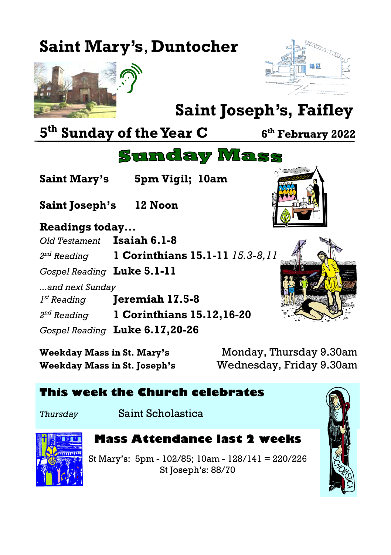# **Saint Mary's**, **Duntocher**





**th February 2022**

# **Saint Joseph's, Faifley**

**5 th Sunday of the Year C <sup>6</sup>**

**Saint Joseph's 12 Noon**

**Saint Mary's 5pm Vigil; 10am**



**Readings today...** *Old Testament* **Isaiah 6.1-8** 2<sup>nd</sup> Reading *nd Reading* **1 Corinthians 15.1-11** *15.3-8,11 Gospel Reading* **Luke 5.1-11** *...and next Sunday*  $I^{st}$  Reading *st Reading* **Jeremiah 17.5-8** 2<sup>nd</sup> Reading *nd Reading* **1 Corinthians 15.12,16-20** *Gospel Reading* **Luke 6.17,20-26**

**Weekday Mass in St. Joseph's** Wednesday, Friday 9.30am

**Weekday Mass in St. Mary's** Monday, Thursday 9.30am

### **This week the Church celebrates**

*Thursday* Saint Scholastica



### **Mass Attendance last 2 weeks**

**Sunday Mass** 

St Mary's: 5pm - 102/85; 10am - 128/141 = 220/226 St Joseph's: 88/70

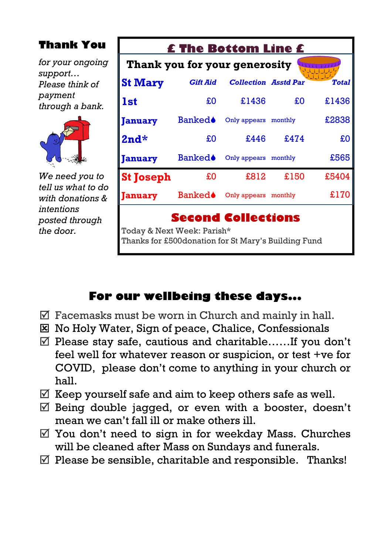# **Thank You** *for your ongoing support… Please think of payment through a bank.*



| £ The Bottom Line £                                                                |                 |                             |      |              |
|------------------------------------------------------------------------------------|-----------------|-----------------------------|------|--------------|
| Thank you for your generosity                                                      |                 |                             |      |              |
| <b>St Mary</b>                                                                     | <b>Gift Aid</b> | <b>Collection Asstd Par</b> |      | <b>Total</b> |
| <b>1st</b>                                                                         | £0              | £1436                       | £O   | £1436        |
| <b>January</b>                                                                     | <b>Banked</b>   | Only appears monthly        |      | £2838        |
| $2nd*$                                                                             | £0              | £446                        | £474 | £O           |
| <b>January</b>                                                                     | <b>Banked</b>   | Only appears monthly        |      | £565         |
| <b>St Joseph</b>                                                                   | £0              | £812                        | £150 | £5404        |
| <b>January</b>                                                                     | Banked♦         | Only appears monthly        |      | £170         |
| <b>Second Collections</b>                                                          |                 |                             |      |              |
| Today & Next Week: Parish*<br>Thanks for £500 donation for St Mary's Building Fund |                 |                             |      |              |

# **For our wellbeing these days...**

- $\triangledown$  Facemasks must be worn in Church and mainly in hall.
- No Holy Water, Sign of peace, Chalice, Confessionals
- $\mathbb Z$  Please stay safe, cautious and charitable……If you don't feel well for whatever reason or suspicion, or test +ve for COVID, please don't come to anything in your church or hall.
- $\mathbb Z$  Keep yourself safe and aim to keep others safe as well.
- $\mathbb Z$  Being double jagged, or even with a booster, doesn't mean we can't fall ill or make others ill.
- $\mathbb N$  You don't need to sign in for weekday Mass. Churches will be cleaned after Mass on Sundays and funerals.
- $\triangledown$  Please be sensible, charitable and responsible. Thanks!